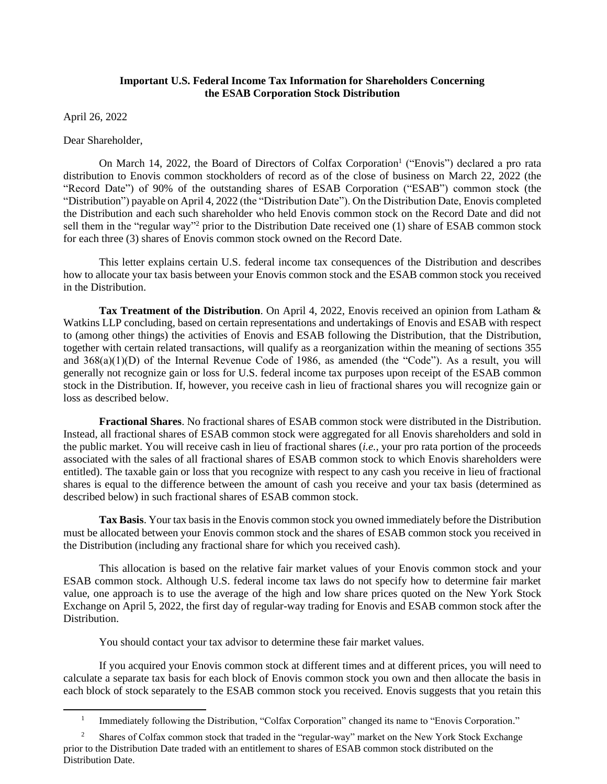# **Important U.S. Federal Income Tax Information for Shareholders Concerning the ESAB Corporation Stock Distribution**

April 26, 2022

Dear Shareholder,

On March 14, 2022, the Board of Directors of Colfax Corporation<sup>1</sup> ("Enovis") declared a pro rata distribution to Enovis common stockholders of record as of the close of business on March 22, 2022 (the "Record Date") of 90% of the outstanding shares of ESAB Corporation ("ESAB") common stock (the "Distribution") payable on April 4, 2022 (the "Distribution Date"). On the Distribution Date, Enovis completed the Distribution and each such shareholder who held Enovis common stock on the Record Date and did not sell them in the "regular way"<sup>2</sup> prior to the Distribution Date received one (1) share of ESAB common stock for each three (3) shares of Enovis common stock owned on the Record Date.

This letter explains certain U.S. federal income tax consequences of the Distribution and describes how to allocate your tax basis between your Enovis common stock and the ESAB common stock you received in the Distribution.

**Tax Treatment of the Distribution**. On April 4, 2022, Enovis received an opinion from Latham & Watkins LLP concluding, based on certain representations and undertakings of Enovis and ESAB with respect to (among other things) the activities of Enovis and ESAB following the Distribution, that the Distribution, together with certain related transactions, will qualify as a reorganization within the meaning of sections 355 and 368(a)(1)(D) of the Internal Revenue Code of 1986, as amended (the "Code"). As a result, you will generally not recognize gain or loss for U.S. federal income tax purposes upon receipt of the ESAB common stock in the Distribution. If, however, you receive cash in lieu of fractional shares you will recognize gain or loss as described below.

**Fractional Shares**. No fractional shares of ESAB common stock were distributed in the Distribution. Instead, all fractional shares of ESAB common stock were aggregated for all Enovis shareholders and sold in the public market. You will receive cash in lieu of fractional shares (*i.e.*, your pro rata portion of the proceeds associated with the sales of all fractional shares of ESAB common stock to which Enovis shareholders were entitled). The taxable gain or loss that you recognize with respect to any cash you receive in lieu of fractional shares is equal to the difference between the amount of cash you receive and your tax basis (determined as described below) in such fractional shares of ESAB common stock.

**Tax Basis**. Your tax basis in the Enovis common stock you owned immediately before the Distribution must be allocated between your Enovis common stock and the shares of ESAB common stock you received in the Distribution (including any fractional share for which you received cash).

This allocation is based on the relative fair market values of your Enovis common stock and your ESAB common stock. Although U.S. federal income tax laws do not specify how to determine fair market value, one approach is to use the average of the high and low share prices quoted on the New York Stock Exchange on April 5, 2022, the first day of regular-way trading for Enovis and ESAB common stock after the **Distribution** 

You should contact your tax advisor to determine these fair market values.

If you acquired your Enovis common stock at different times and at different prices, you will need to calculate a separate tax basis for each block of Enovis common stock you own and then allocate the basis in each block of stock separately to the ESAB common stock you received. Enovis suggests that you retain this

<sup>1</sup> Immediately following the Distribution, "Colfax Corporation" changed its name to "Enovis Corporation."

<sup>2</sup> Shares of Colfax common stock that traded in the "regular-way" market on the New York Stock Exchange prior to the Distribution Date traded with an entitlement to shares of ESAB common stock distributed on the Distribution Date.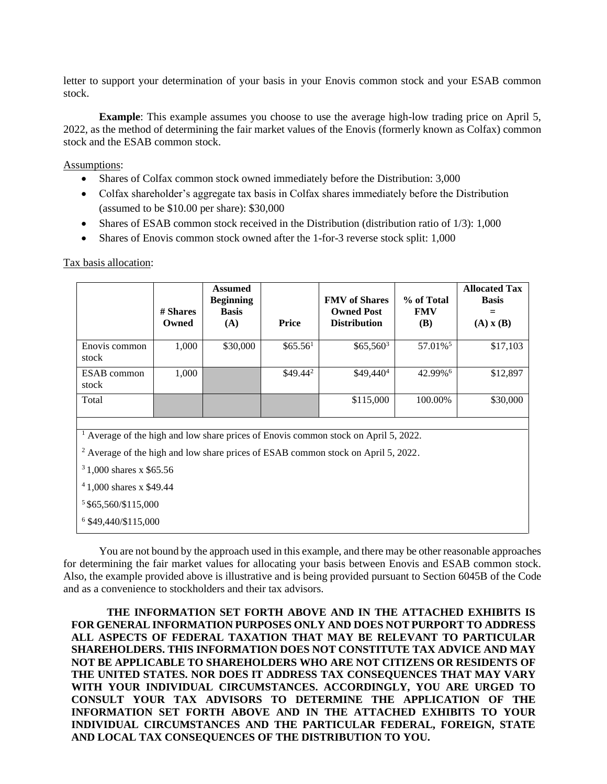letter to support your determination of your basis in your Enovis common stock and your ESAB common stock.

**Example**: This example assumes you choose to use the average high-low trading price on April 5, 2022, as the method of determining the fair market values of the Enovis (formerly known as Colfax) common stock and the ESAB common stock.

Assumptions:

- Shares of Colfax common stock owned immediately before the Distribution: 3,000
- Colfax shareholder's aggregate tax basis in Colfax shares immediately before the Distribution (assumed to be \$10.00 per share): \$30,000
- Shares of ESAB common stock received in the Distribution (distribution ratio of 1/3): 1,000
- Shares of Enovis common stock owned after the 1-for-3 reverse stock split: 1,000

Tax basis allocation:

| # Shares<br>Owned                                                                                                                                                                              | <b>Assumed</b><br><b>Beginning</b><br><b>Basis</b><br>(A) | Price                | <b>FMV</b> of Shares<br><b>Owned Post</b><br><b>Distribution</b> | % of Total<br><b>FMV</b><br><b>(B)</b> | <b>Allocated Tax</b><br><b>Basis</b><br>$(A)$ x $(B)$ |  |  |  |  |  |
|------------------------------------------------------------------------------------------------------------------------------------------------------------------------------------------------|-----------------------------------------------------------|----------------------|------------------------------------------------------------------|----------------------------------------|-------------------------------------------------------|--|--|--|--|--|
| 1,000                                                                                                                                                                                          | \$30,000                                                  | \$65.56 <sup>1</sup> | $$65,560^3$                                                      | 57.01% <sup>5</sup>                    | \$17,103                                              |  |  |  |  |  |
| 1,000                                                                                                                                                                                          |                                                           | $$49.44^2$           | \$49,440 <sup>4</sup>                                            | 42.99%6                                | \$12,897                                              |  |  |  |  |  |
|                                                                                                                                                                                                |                                                           |                      | \$115,000                                                        | 100.00%                                | \$30,000                                              |  |  |  |  |  |
| <sup>1</sup> Average of the high and low share prices of Enovis common stock on April 5, 2022.<br><sup>2</sup> Average of the high and low share prices of ESAB common stock on April 5, 2022. |                                                           |                      |                                                                  |                                        |                                                       |  |  |  |  |  |
| $31,000$ shares x \$65.56<br>$41,000$ shares x \$49.44<br>$5$ \$65,560/\$115,000<br>6 \$49,440/\$115,000                                                                                       |                                                           |                      |                                                                  |                                        |                                                       |  |  |  |  |  |
|                                                                                                                                                                                                |                                                           |                      |                                                                  |                                        |                                                       |  |  |  |  |  |

You are not bound by the approach used in this example, and there may be other reasonable approaches for determining the fair market values for allocating your basis between Enovis and ESAB common stock. Also, the example provided above is illustrative and is being provided pursuant to Section 6045B of the Code and as a convenience to stockholders and their tax advisors.

**THE INFORMATION SET FORTH ABOVE AND IN THE ATTACHED EXHIBITS IS FOR GENERAL INFORMATION PURPOSES ONLY AND DOES NOT PURPORT TO ADDRESS ALL ASPECTS OF FEDERAL TAXATION THAT MAY BE RELEVANT TO PARTICULAR SHAREHOLDERS. THIS INFORMATION DOES NOT CONSTITUTE TAX ADVICE AND MAY NOT BE APPLICABLE TO SHAREHOLDERS WHO ARE NOT CITIZENS OR RESIDENTS OF THE UNITED STATES. NOR DOES IT ADDRESS TAX CONSEQUENCES THAT MAY VARY WITH YOUR INDIVIDUAL CIRCUMSTANCES. ACCORDINGLY, YOU ARE URGED TO CONSULT YOUR TAX ADVISORS TO DETERMINE THE APPLICATION OF THE INFORMATION SET FORTH ABOVE AND IN THE ATTACHED EXHIBITS TO YOUR INDIVIDUAL CIRCUMSTANCES AND THE PARTICULAR FEDERAL, FOREIGN, STATE AND LOCAL TAX CONSEQUENCES OF THE DISTRIBUTION TO YOU.**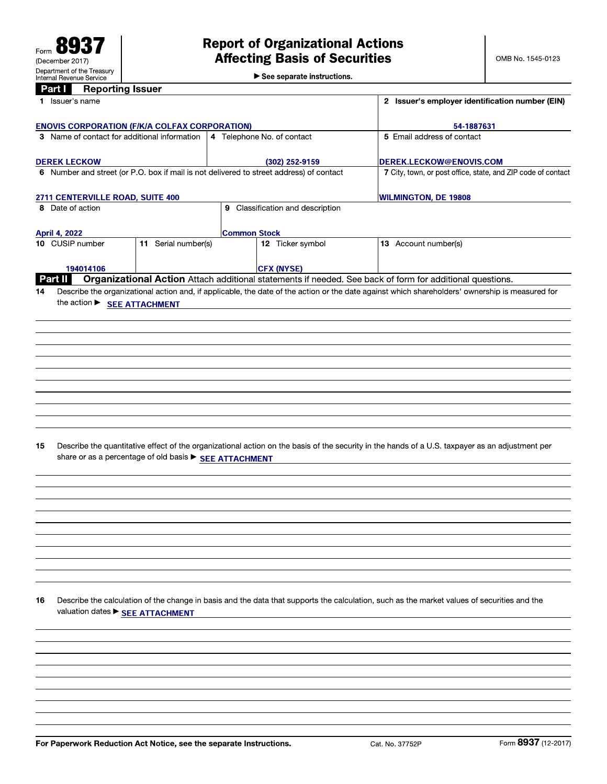$\blacktriangleright$  See separate instructions.

| $\alpha$<br><b>The bot ming 1998.</b><br>1 Issuer's name |                                  | 2 Issuer's employer identification number (EIN)                                         |                                                                                                                                                 |  |
|----------------------------------------------------------|----------------------------------|-----------------------------------------------------------------------------------------|-------------------------------------------------------------------------------------------------------------------------------------------------|--|
|                                                          |                                  |                                                                                         |                                                                                                                                                 |  |
| <b>ENOVIS CORPORATION (F/K/A COLFAX CORPORATION)</b>     |                                  | 54-1887631                                                                              |                                                                                                                                                 |  |
| 3 Name of contact for additional information             |                                  | 4 Telephone No. of contact                                                              | 5 Email address of contact                                                                                                                      |  |
| <b>DEREK LECKOW</b>                                      |                                  | (302) 252-9159                                                                          | DEREK.LECKOW@ENOVIS.COM                                                                                                                         |  |
|                                                          |                                  | 6 Number and street (or P.O. box if mail is not delivered to street address) of contact | 7 City, town, or post office, state, and ZIP code of contact                                                                                    |  |
|                                                          |                                  |                                                                                         |                                                                                                                                                 |  |
| 2711 CENTERVILLE ROAD, SUITE 400<br>8 Date of action     |                                  | 9 Classification and description                                                        | <b>WILMINGTON, DE 19808</b>                                                                                                                     |  |
|                                                          |                                  |                                                                                         |                                                                                                                                                 |  |
| April 4, 2022                                            |                                  | <b>Common Stock</b>                                                                     |                                                                                                                                                 |  |
| 10 CUSIP number                                          | $\overline{11}$ Serial number(s) | 12 Ticker symbol                                                                        | 13 Account number(s)                                                                                                                            |  |
| 194014106                                                |                                  | <b>CFX (NYSE)</b>                                                                       |                                                                                                                                                 |  |
| Part II                                                  |                                  |                                                                                         | Organizational Action Attach additional statements if needed. See back of form for additional questions.                                        |  |
| 14                                                       |                                  |                                                                                         | Describe the organizational action and, if applicable, the date of the action or the date against which shareholders' ownership is measured for |  |
| the action ► SEE ATTACHMENT                              |                                  |                                                                                         |                                                                                                                                                 |  |
|                                                          |                                  |                                                                                         |                                                                                                                                                 |  |
|                                                          |                                  |                                                                                         |                                                                                                                                                 |  |
|                                                          |                                  |                                                                                         |                                                                                                                                                 |  |
|                                                          |                                  |                                                                                         |                                                                                                                                                 |  |
|                                                          |                                  |                                                                                         |                                                                                                                                                 |  |
|                                                          |                                  |                                                                                         |                                                                                                                                                 |  |
|                                                          |                                  |                                                                                         |                                                                                                                                                 |  |
|                                                          |                                  |                                                                                         |                                                                                                                                                 |  |
|                                                          |                                  |                                                                                         |                                                                                                                                                 |  |
|                                                          |                                  |                                                                                         |                                                                                                                                                 |  |
|                                                          |                                  |                                                                                         |                                                                                                                                                 |  |
|                                                          |                                  |                                                                                         |                                                                                                                                                 |  |
|                                                          |                                  |                                                                                         |                                                                                                                                                 |  |
| 15                                                       |                                  |                                                                                         | Describe the quantitative effect of the organizational action on the basis of the security in the hands of a U.S. taxpayer as an adjustment per |  |
| share or as a percentage of old basis > SEE ATTACHMENT   |                                  |                                                                                         |                                                                                                                                                 |  |
|                                                          |                                  |                                                                                         |                                                                                                                                                 |  |
|                                                          |                                  |                                                                                         |                                                                                                                                                 |  |
|                                                          |                                  |                                                                                         |                                                                                                                                                 |  |
|                                                          |                                  |                                                                                         |                                                                                                                                                 |  |
|                                                          |                                  |                                                                                         |                                                                                                                                                 |  |
|                                                          |                                  |                                                                                         |                                                                                                                                                 |  |
|                                                          |                                  |                                                                                         |                                                                                                                                                 |  |
|                                                          |                                  |                                                                                         |                                                                                                                                                 |  |
|                                                          |                                  |                                                                                         |                                                                                                                                                 |  |
|                                                          |                                  |                                                                                         |                                                                                                                                                 |  |
|                                                          |                                  |                                                                                         |                                                                                                                                                 |  |
|                                                          |                                  |                                                                                         |                                                                                                                                                 |  |
|                                                          |                                  |                                                                                         |                                                                                                                                                 |  |
| 16                                                       |                                  |                                                                                         | Describe the calculation of the change in basis and the data that supports the calculation, such as the market values of securities and the     |  |
| valuation dates > SEE ATTACHMENT                         |                                  |                                                                                         |                                                                                                                                                 |  |
|                                                          |                                  |                                                                                         |                                                                                                                                                 |  |
|                                                          |                                  |                                                                                         |                                                                                                                                                 |  |
|                                                          |                                  |                                                                                         |                                                                                                                                                 |  |
|                                                          |                                  |                                                                                         |                                                                                                                                                 |  |
|                                                          |                                  |                                                                                         |                                                                                                                                                 |  |
|                                                          |                                  |                                                                                         |                                                                                                                                                 |  |
|                                                          |                                  |                                                                                         |                                                                                                                                                 |  |
|                                                          |                                  |                                                                                         |                                                                                                                                                 |  |
|                                                          |                                  |                                                                                         |                                                                                                                                                 |  |
|                                                          |                                  |                                                                                         |                                                                                                                                                 |  |
|                                                          |                                  |                                                                                         |                                                                                                                                                 |  |
|                                                          |                                  |                                                                                         |                                                                                                                                                 |  |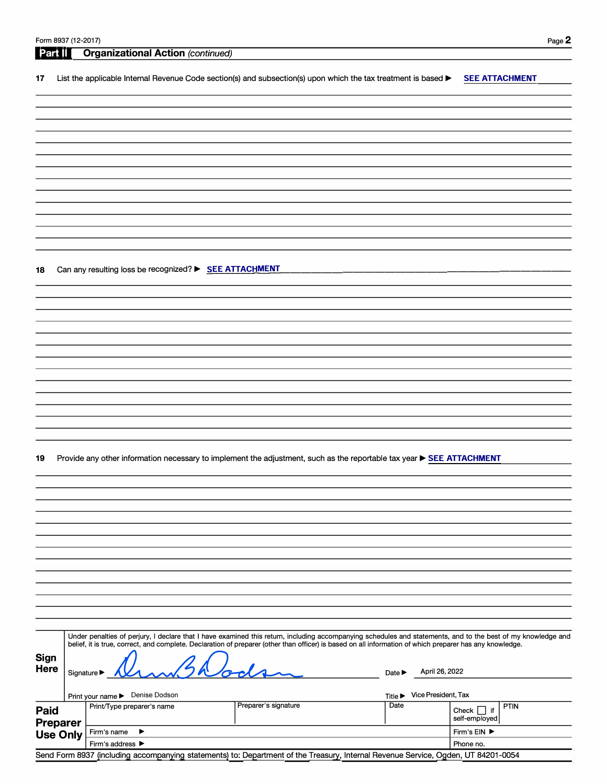| Form 8937 (12-2017) |             |                                                                                                                                                              |                      |                                              | Page 2                           |
|---------------------|-------------|--------------------------------------------------------------------------------------------------------------------------------------------------------------|----------------------|----------------------------------------------|----------------------------------|
| Part II             |             | <b>Organizational Action (continued)</b>                                                                                                                     |                      |                                              |                                  |
|                     |             |                                                                                                                                                              |                      |                                              |                                  |
| 17                  |             | List the applicable Internal Revenue Code section(s) and subsection(s) upon which the tax treatment is based $\blacktriangleright$                           |                      |                                              | <b>SEE ATTACHMENT</b>            |
|                     |             |                                                                                                                                                              |                      |                                              |                                  |
|                     |             |                                                                                                                                                              |                      |                                              |                                  |
|                     |             |                                                                                                                                                              |                      |                                              |                                  |
|                     |             |                                                                                                                                                              |                      |                                              |                                  |
|                     |             |                                                                                                                                                              |                      |                                              |                                  |
|                     |             |                                                                                                                                                              |                      |                                              |                                  |
|                     |             |                                                                                                                                                              |                      |                                              |                                  |
|                     |             |                                                                                                                                                              |                      |                                              |                                  |
|                     |             |                                                                                                                                                              |                      |                                              |                                  |
|                     |             |                                                                                                                                                              |                      |                                              |                                  |
|                     |             |                                                                                                                                                              |                      |                                              |                                  |
|                     |             |                                                                                                                                                              |                      |                                              |                                  |
|                     |             |                                                                                                                                                              |                      |                                              |                                  |
|                     |             |                                                                                                                                                              |                      |                                              |                                  |
| 18                  |             | Can any resulting loss be recognized? > SEE ATTACHMENT                                                                                                       |                      |                                              |                                  |
|                     |             |                                                                                                                                                              |                      |                                              |                                  |
|                     |             |                                                                                                                                                              |                      |                                              |                                  |
|                     |             |                                                                                                                                                              |                      |                                              |                                  |
|                     |             |                                                                                                                                                              |                      |                                              |                                  |
|                     |             |                                                                                                                                                              |                      |                                              |                                  |
|                     |             |                                                                                                                                                              |                      |                                              |                                  |
|                     |             |                                                                                                                                                              |                      |                                              |                                  |
|                     |             |                                                                                                                                                              |                      |                                              |                                  |
|                     |             |                                                                                                                                                              |                      |                                              |                                  |
|                     |             |                                                                                                                                                              |                      |                                              |                                  |
|                     |             |                                                                                                                                                              |                      |                                              |                                  |
|                     |             |                                                                                                                                                              |                      |                                              |                                  |
|                     |             |                                                                                                                                                              |                      |                                              |                                  |
|                     |             |                                                                                                                                                              |                      |                                              |                                  |
| 19                  |             | Provide any other information necessary to implement the adjustment, such as the reportable tax year SEE ATTACHMENT                                          |                      |                                              |                                  |
|                     |             |                                                                                                                                                              |                      |                                              |                                  |
|                     |             |                                                                                                                                                              |                      |                                              |                                  |
|                     |             |                                                                                                                                                              |                      |                                              |                                  |
|                     |             |                                                                                                                                                              |                      |                                              |                                  |
|                     |             |                                                                                                                                                              |                      |                                              |                                  |
|                     |             |                                                                                                                                                              |                      |                                              |                                  |
|                     |             |                                                                                                                                                              |                      |                                              |                                  |
|                     |             |                                                                                                                                                              |                      |                                              |                                  |
|                     |             |                                                                                                                                                              |                      |                                              |                                  |
|                     |             |                                                                                                                                                              |                      |                                              |                                  |
|                     |             |                                                                                                                                                              |                      |                                              |                                  |
|                     |             |                                                                                                                                                              |                      |                                              |                                  |
|                     |             |                                                                                                                                                              |                      |                                              |                                  |
|                     |             | Under penalties of perjury, I declare that I have examined this return, including accompanying schedules and statements, and to the best of my knowledge and |                      |                                              |                                  |
|                     |             | belief, it is true, correct, and complete. Declaration of preparer (other than officer) is based on all information of which preparer has any knowledge.     |                      |                                              |                                  |
| <b>Sign</b>         |             |                                                                                                                                                              |                      |                                              |                                  |
| Here                | Signature ▶ |                                                                                                                                                              |                      | April 26, 2022<br>Date $\blacktriangleright$ |                                  |
|                     |             |                                                                                                                                                              |                      |                                              |                                  |
|                     |             | Print your name > Denise Dodson                                                                                                                              |                      | Vice President, Tax<br>Title ▶               |                                  |
|                     |             | Print/Type preparer's name                                                                                                                                   | Preparer's signature | Date                                         | PTIN                             |
| Paid                |             |                                                                                                                                                              |                      |                                              | Check $\Box$ if<br>self-employed |
| <b>Preparer</b>     |             | Firm's name<br>▶                                                                                                                                             |                      |                                              | Firm's EIN ▶                     |
| <b>Use Only</b>     |             | Firm's address ▶                                                                                                                                             |                      |                                              | Phone no.                        |

Send Form 8937 (including accompanying statements) to: Department of the Treasury, Internal Revenue Service, Ogden, UT 84201-0054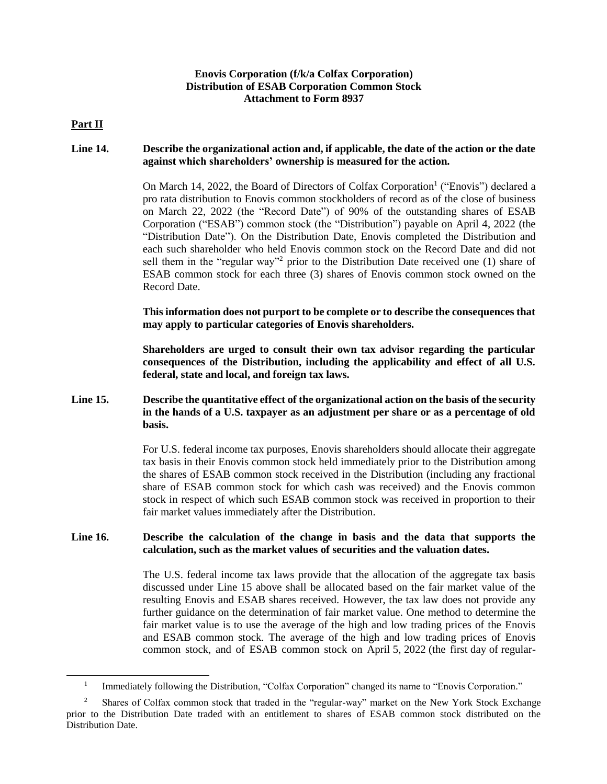# **Enovis Corporation (f/k/a Colfax Corporation) Distribution of ESAB Corporation Common Stock Attachment to Form 8937**

### **Part II**

l

# **Line 14. Describe the organizational action and, if applicable, the date of the action or the date against which shareholders' ownership is measured for the action.**

On March 14, 2022, the Board of Directors of Colfax Corporation<sup>1</sup> ("Enovis") declared a pro rata distribution to Enovis common stockholders of record as of the close of business on March 22, 2022 (the "Record Date") of 90% of the outstanding shares of ESAB Corporation ("ESAB") common stock (the "Distribution") payable on April 4, 2022 (the "Distribution Date"). On the Distribution Date, Enovis completed the Distribution and each such shareholder who held Enovis common stock on the Record Date and did not sell them in the "regular way"<sup>2</sup> prior to the Distribution Date received one (1) share of ESAB common stock for each three (3) shares of Enovis common stock owned on the Record Date.

**This information does not purport to be complete or to describe the consequences that may apply to particular categories of Enovis shareholders.**

**Shareholders are urged to consult their own tax advisor regarding the particular consequences of the Distribution, including the applicability and effect of all U.S. federal, state and local, and foreign tax laws.**

# **Line 15. Describe the quantitative effect of the organizational action on the basis of the security in the hands of a U.S. taxpayer as an adjustment per share or as a percentage of old basis.**

For U.S. federal income tax purposes, Enovis shareholders should allocate their aggregate tax basis in their Enovis common stock held immediately prior to the Distribution among the shares of ESAB common stock received in the Distribution (including any fractional share of ESAB common stock for which cash was received) and the Enovis common stock in respect of which such ESAB common stock was received in proportion to their fair market values immediately after the Distribution.

### **Line 16. Describe the calculation of the change in basis and the data that supports the calculation, such as the market values of securities and the valuation dates.**

The U.S. federal income tax laws provide that the allocation of the aggregate tax basis discussed under Line 15 above shall be allocated based on the fair market value of the resulting Enovis and ESAB shares received. However, the tax law does not provide any further guidance on the determination of fair market value. One method to determine the fair market value is to use the average of the high and low trading prices of the Enovis and ESAB common stock. The average of the high and low trading prices of Enovis common stock, and of ESAB common stock on April 5, 2022 (the first day of regular-

<sup>1</sup> Immediately following the Distribution, "Colfax Corporation" changed its name to "Enovis Corporation."

<sup>2</sup> Shares of Colfax common stock that traded in the "regular-way" market on the New York Stock Exchange prior to the Distribution Date traded with an entitlement to shares of ESAB common stock distributed on the Distribution Date.